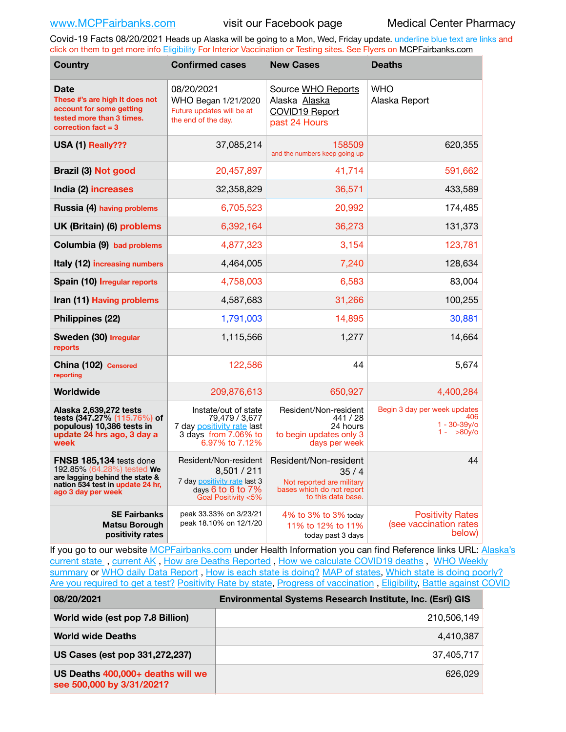Covid-19 Facts 08/20/2021 Heads up Alaska will be going to a Mon, Wed, Friday update. underline blue text are links and click on them to get more info [Eligibility](http://dhss.alaska.gov/dph/Epi/id/Pages/COVID-19/VaccineAvailability.aspx) For Interior Vaccination or Testing sites. See Flyers on [MCPFairbanks.com](http://www.MCPFairbanks.com)

| <b>Country</b>                                                                                                                                           | <b>Confirmed cases</b>                                                                                                  | <b>New Cases</b>                                                                                              | <b>Deaths</b>                                                            |
|----------------------------------------------------------------------------------------------------------------------------------------------------------|-------------------------------------------------------------------------------------------------------------------------|---------------------------------------------------------------------------------------------------------------|--------------------------------------------------------------------------|
| <b>Date</b><br>These #'s are high It does not<br>account for some getting<br>tested more than 3 times.<br>correction fact $=$ 3                          | 08/20/2021<br>WHO Began 1/21/2020<br>Future updates will be at<br>the end of the day.                                   | Source WHO Reports<br>Alaska Alaska<br>COVID19 Report<br>past 24 Hours                                        | <b>WHO</b><br>Alaska Report                                              |
| USA (1) Really???                                                                                                                                        | 37,085,214                                                                                                              | 158509<br>and the numbers keep going up                                                                       | 620,355                                                                  |
| Brazil (3) Not good                                                                                                                                      | 20,457,897                                                                                                              | 41,714                                                                                                        | 591,662                                                                  |
| India (2) increases                                                                                                                                      | 32,358,829                                                                                                              | 36,571                                                                                                        | 433,589                                                                  |
| Russia (4) having problems                                                                                                                               | 6,705,523                                                                                                               | 20,992                                                                                                        | 174,485                                                                  |
| UK (Britain) (6) problems                                                                                                                                | 6,392,164                                                                                                               | 36,273                                                                                                        | 131,373                                                                  |
| Columbia (9) bad problems                                                                                                                                | 4,877,323                                                                                                               | 3,154                                                                                                         | 123,781                                                                  |
| <b>Italy (12) increasing numbers</b>                                                                                                                     | 4,464,005                                                                                                               | 7,240                                                                                                         | 128,634                                                                  |
| Spain (10) Irregular reports                                                                                                                             | 4,758,003                                                                                                               | 6,583                                                                                                         | 83,004                                                                   |
| Iran (11) Having problems                                                                                                                                | 4,587,683                                                                                                               | 31,266                                                                                                        | 100,255                                                                  |
| Philippines (22)                                                                                                                                         | 1,791,003                                                                                                               | 14,895                                                                                                        | 30,881                                                                   |
| Sweden (30) Irregular<br>reports                                                                                                                         | 1,115,566                                                                                                               | 1,277                                                                                                         | 14,664                                                                   |
| China (102) Censored<br>reporting                                                                                                                        | 122,586                                                                                                                 | 44                                                                                                            | 5,674                                                                    |
| Worldwide                                                                                                                                                | 209,876,613                                                                                                             | 650,927                                                                                                       | 4,400,284                                                                |
| Alaska 2,639,272 tests<br>tests (347.27% (115.76%) of<br>populous) 10,386 tests in<br>update 24 hrs ago, 3 day a<br>week                                 | Instate/out of state<br>79,479 / 3,677<br>7 day positivity rate last<br>3 days from 7.06% to<br>6.97% to 7.12%          | Resident/Non-resident<br>441 / 28<br>24 hours<br>to begin updates only 3<br>days per week                     | Begin 3 day per week updates<br>406<br>$1 - 30 - 39v$ /o<br>$1 - 80y$ /o |
| <b>FNSB 185,134 tests done</b><br>192.85% (64.28%) tested We<br>are lagging behind the state &<br>nation 534 test in update 24 hr,<br>ago 3 day per week | Resident/Non-resident<br>8,501 / 211<br>7 day positivity rate last 3<br>days $6$ to $6$ to $7\%$<br>Goal Positivity <5% | Resident/Non-resident<br>35/4<br>Not reported are military<br>bases which do not report<br>to this data base. | 44                                                                       |
| <b>SE Fairbanks</b><br><b>Matsu Borough</b><br>positivity rates                                                                                          | peak 33.33% on 3/23/21<br>peak 18.10% on 12/1/20                                                                        | 4% to 3% to 3% today<br>11% to 12% to 11%<br>today past 3 days                                                | <b>Positivity Rates</b><br>(see vaccination rates<br>below)              |

If you go to our website [MCPFairbanks.com](http://www.MCPFairbanks.com) under Health Information you can find Reference links URL: Alaska's [current state](https://coronavirus-response-alaska-dhss.hub.arcgis.com) , [current AK](http://dhss.alaska.gov/dph/Epi/id/Pages/COVID-19/communications.aspx#cases) , [How are Deaths Reported](http://dhss.alaska.gov/dph/Epi/id/Pages/COVID-19/deathcounts.aspx) , [How we calculate COVID19 deaths](https://coronavirus-response-alaska-dhss.hub.arcgis.com/search?collection=Document&groupIds=41ccb3344ebc4bd682c74073eba21f42) , [WHO Weekly](http://www.who.int)  [summary](http://www.who.int) or [WHO daily Data Report](https://covid19.who.int/table), [How is each state is doing?](https://www.msn.com/en-us/news/us/state-by-state-coronavirus-news/ar-BB13E1PX?fbclid=IwAR0_OBJH7lSyTN3ug_MsOeFnNgB1orTa9OBgilKJ7dhnwlVvHEsptuKkj1c) [MAP of states,](https://www.nationalgeographic.com/science/graphics/graphic-tracking-coronavirus-infections-us?cmpid=org=ngp::mc=crm-email::src=ngp::cmp=editorial::add=SpecialEdition_20210305&rid=B9A6DF5992658E8E35CE023113CFEA4C) [Which state is doing poorly?](https://bestlifeonline.com/covid-outbreak-your-state/?utm_source=nsltr&utm_medium=email&utm_content=covid-outbreak-your-state&utm_campaign=launch) [Are you required to get a test?](http://dhss.alaska.gov/dph/Epi/id/SiteAssets/Pages/HumanCoV/Whattodoafteryourtest.pdf) [Positivity Rate by state](https://coronavirus.jhu.edu/testing/individual-states/alaska), Progress of vaccination, [Eligibility,](http://dhss.alaska.gov/dph/Epi/id/Pages/COVID-19/VaccineAvailability.aspx) [Battle against COVID](https://www.nationalgeographic.com/science/graphics/graphic-tracking-coronavirus-infections-us?cmpid=org=ngp::mc=crm-email::src=ngp::cmp=editorial::add=SpecialEdition_20210219&rid=B9A6DF5992658E8E35CE023113CFEA4C)

**08/20/2021 Environmental Systems Research Institute, Inc. (Esri) GIS**

| World wide (est pop 7.8 Billion)                               | 210,506,149 |
|----------------------------------------------------------------|-------------|
| <b>World wide Deaths</b>                                       | 4,410,387   |
| US Cases (est pop 331,272,237)                                 | 37.405.717  |
| US Deaths 400,000+ deaths will we<br>see 500,000 by 3/31/2021? | 626,029     |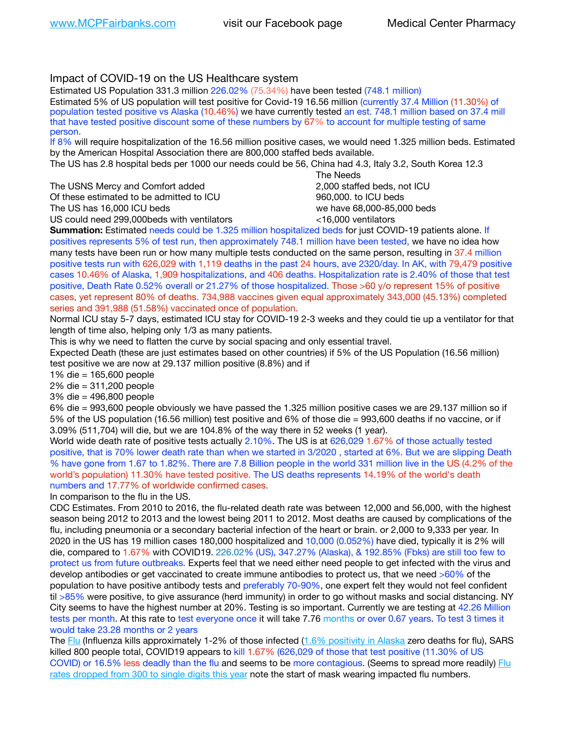# Impact of COVID-19 on the US Healthcare system

Estimated US Population 331.3 million 226.02% (75.34%) have been tested (748.1 million) Estimated 5% of US population will test positive for Covid-19 16.56 million (currently 37.4 Million (11.30%) of population tested positive vs Alaska (10.46%) we have currently tested an est. 748.1 million based on 37.4 mill that have tested positive discount some of these numbers by 67% to account for multiple testing of same person.

If 8% will require hospitalization of the 16.56 million positive cases, we would need 1.325 million beds. Estimated by the American Hospital Association there are 800,000 staffed beds available.

The US has 2.8 hospital beds per 1000 our needs could be 56, China had 4.3, Italy 3.2, South Korea 12.3

The USNS Mercy and Comfort added 2,000 staffed beds, not ICU Of these estimated to be admitted to ICU  $\qquad \qquad$  960,000, to ICU beds The US has 16,000 ICU beds we have 68,000-85,000 beds ve have 68,000-85,000 beds

US could need 299,000 beds with ventilators  $\leq$ 16,000 ventilators

 The Needs

**Summation:** Estimated needs could be 1.325 million hospitalized beds for just COVID-19 patients alone. If positives represents 5% of test run, then approximately 748.1 million have been tested, we have no idea how many tests have been run or how many multiple tests conducted on the same person, resulting in 37.4 million positive tests run with 626,029 with 1,119 deaths in the past 24 hours, ave 2320/day. In AK, with 79,479 positive cases 10.46% of Alaska, 1,909 hospitalizations, and 406 deaths. Hospitalization rate is 2.40% of those that test positive, Death Rate 0.52% overall or 21.27% of those hospitalized. Those >60 y/o represent 15% of positive cases, yet represent 80% of deaths. 734,988 vaccines given equal approximately 343,000 (45.13%) completed series and 391,988 (51.58%) vaccinated once of population.

Normal ICU stay 5-7 days, estimated ICU stay for COVID-19 2-3 weeks and they could tie up a ventilator for that length of time also, helping only 1/3 as many patients.

This is why we need to flatten the curve by social spacing and only essential travel.

Expected Death (these are just estimates based on other countries) if 5% of the US Population (16.56 million) test positive we are now at 29.137 million positive (8.8%) and if

1% die = 165,600 people

2% die = 311,200 people

3% die = 496,800 people

6% die = 993,600 people obviously we have passed the 1.325 million positive cases we are 29.137 million so if 5% of the US population (16.56 million) test positive and 6% of those die = 993,600 deaths if no vaccine, or if 3.09% (511,704) will die, but we are 104.8% of the way there in 52 weeks (1 year).

World wide death rate of positive tests actually 2.10%. The US is at 626,029 1.67% of those actually tested positive, that is 70% lower death rate than when we started in 3/2020 , started at 6%. But we are slipping Death % have gone from 1.67 to 1.82%. There are 7.8 Billion people in the world 331 million live in the US (4.2% of the world's population) 11.30% have tested positive. The US deaths represents 14.19% of the world's death numbers and 17.77% of worldwide confirmed cases.

In comparison to the flu in the US.

CDC Estimates. From 2010 to 2016, the flu-related death rate was between 12,000 and 56,000, with the highest season being 2012 to 2013 and the lowest being 2011 to 2012. Most deaths are caused by complications of the flu, including pneumonia or a secondary bacterial infection of the heart or brain. or 2,000 to 9,333 per year. In 2020 in the US has 19 million cases 180,000 hospitalized and 10,000 (0.052%) have died, typically it is 2% will die, compared to 1.67% with COVID19. 226.02% (US), 347.27% (Alaska), & 192.85% (Fbks) are still too few to protect us from future outbreaks. Experts feel that we need either need people to get infected with the virus and develop antibodies or get vaccinated to create immune antibodies to protect us, that we need >60% of the population to have positive antibody tests and preferably 70-90%, one expert felt they would not feel confident til >85% were positive, to give assurance (herd immunity) in order to go without masks and social distancing. NY City seems to have the highest number at 20%. Testing is so important. Currently we are testing at 42.26 Million tests per month. At this rate to test everyone once it will take 7.76 months or over 0.67 years. To test 3 times it would take 23.28 months or 2 years

The [Flu](https://lnks.gd/l/eyJhbGciOiJIUzI1NiJ9.eyJidWxsZXRpbl9saW5rX2lkIjoxMDMsInVyaSI6ImJwMjpjbGljayIsImJ1bGxldGluX2lkIjoiMjAyMTAyMjYuMzYwNDA3NTEiLCJ1cmwiOiJodHRwczovL3d3dy5jZGMuZ292L2ZsdS93ZWVrbHkvb3ZlcnZpZXcuaHRtIn0.ePMA_hsZ-pTnhWSyg1gHvHWYTu2XceVOt0JejxvP1WE/s/500544915/br/98428119752-l) (Influenza kills approximately 1-2% of those infected ([1.6% positivity in Alaska](http://dhss.alaska.gov/dph/Epi/id/SiteAssets/Pages/influenza/trends/Snapshot.pdf) zero deaths for flu), SARS killed 800 people total, COVID19 appears to kill 1.67% (626,029 of those that test positive (11.30% of US COVID) or 16.5% less deadly than the flu and seems to be more contagious. (Seems to spread more readily) [Flu](https://lnks.gd/l/eyJhbGciOiJIUzI1NiJ9.eyJidWxsZXRpbl9saW5rX2lkIjoxMDEsInVyaSI6ImJwMjpjbGljayIsImJ1bGxldGluX2lkIjoiMjAyMTAyMjYuMzYwNDA3NTEiLCJ1cmwiOiJodHRwOi8vZGhzcy5hbGFza2EuZ292L2RwaC9FcGkvaWQvUGFnZXMvaW5mbHVlbnphL2ZsdWluZm8uYXNweCJ9.oOe3nt2fww6XpsNhb4FZfmtPfPa-irGaldpkURBJhSo/s/500544915/br/98428119752-l)  [rates dropped from 300 to single digits this year](https://lnks.gd/l/eyJhbGciOiJIUzI1NiJ9.eyJidWxsZXRpbl9saW5rX2lkIjoxMDEsInVyaSI6ImJwMjpjbGljayIsImJ1bGxldGluX2lkIjoiMjAyMTAyMjYuMzYwNDA3NTEiLCJ1cmwiOiJodHRwOi8vZGhzcy5hbGFza2EuZ292L2RwaC9FcGkvaWQvUGFnZXMvaW5mbHVlbnphL2ZsdWluZm8uYXNweCJ9.oOe3nt2fww6XpsNhb4FZfmtPfPa-irGaldpkURBJhSo/s/500544915/br/98428119752-l) note the start of mask wearing impacted flu numbers.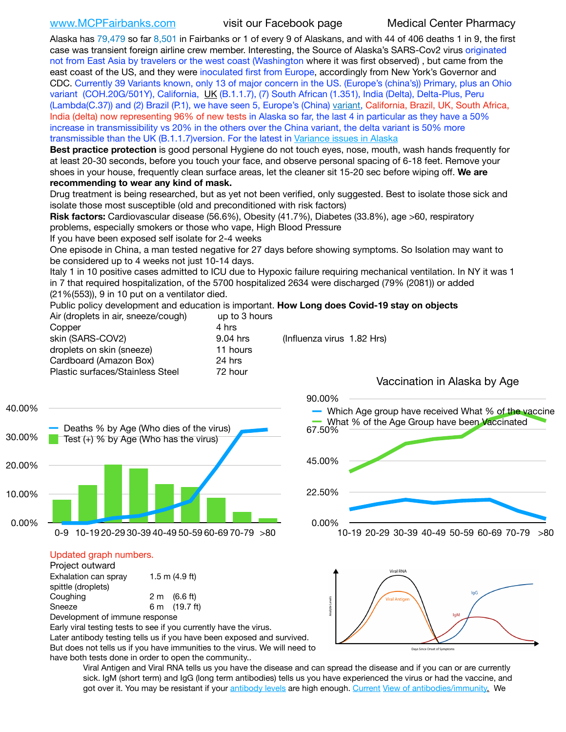[www.MCPFairbanks.com](http://www.MCPFairbanks.com) visit our Facebook page Medical Center Pharmacy

Alaska has 79,479 so far 8,501 in Fairbanks or 1 of every 9 of Alaskans, and with 44 of 406 deaths 1 in 9, the first case was transient foreign airline crew member. Interesting, the Source of Alaska's SARS-Cov2 virus originated not from East Asia by travelers or the west coast (Washington where it was first observed) , but came from the east coast of the US, and they were inoculated first from Europe, accordingly from New York's Governor and CDC. Currently 39 Variants known, only 13 of major concern in the US. (Europe's (china's)) Primary, plus an Ohio variant (COH.20G/501Y), California, [UK](https://www.cdc.gov/coronavirus/2019-ncov/transmission/variant-cases.html) (B.1.1.7), (7) South African (1.351), India (Delta), Delta-Plus, Peru (Lambda(C.37)) and (2) Brazil (P.1), we have seen 5, Europe's (China) [variant](https://www.webmd.com/lung/news/20210318/cdc-who-create-threat-levels-for-covid-variants?ecd=wnl_cvd_031921&ctr=wnl-cvd-031921&mb=kYbf7DsHb7YGjh/1RUkcAW0T6iorImAU1TDZh18RYs0=_Support_titleLink_2), California, Brazil, UK, South Africa, India (delta) now representing 96% of new tests in Alaska so far, the last 4 in particular as they have a 50% increase in transmissibility vs 20% in the others over the China variant, the delta variant is 50% more transmissible than the UK (B.1.1.7)version. For the latest in [Variance issues in Alaska](https://lnks.gd/l/eyJhbGciOiJIUzI1NiJ9.eyJidWxsZXRpbl9saW5rX2lkIjoxMDgsInVyaSI6ImJwMjpjbGljayIsImJ1bGxldGluX2lkIjoiMjAyMTA4MDUuNDQxMzM4NzEiLCJ1cmwiOiJodHRwOi8vZGhzcy5hbGFza2EuZ292L2RwaC9FcGkvaWQvc2l0ZWFzc2V0cy9wYWdlcy9odW1hbmNvdi9BS1NlcUNvbl9HZW5vbWljU2l0dWF0aW9uUmVwb3J0LnBkZiJ9.wjCZc7vYm_CIgdjPTJyJ9ehoQjtub_KeZLTKgTIA69A/s/500544915/br/110405970878-l)

**Best practice protection** is good personal Hygiene do not touch eyes, nose, mouth, wash hands frequently for at least 20-30 seconds, before you touch your face, and observe personal spacing of 6-18 feet. Remove your shoes in your house, frequently clean surface areas, let the cleaner sit 15-20 sec before wiping off. **We are recommending to wear any kind of mask.**

Drug treatment is being researched, but as yet not been verified, only suggested. Best to isolate those sick and isolate those most susceptible (old and preconditioned with risk factors)

**Risk factors:** Cardiovascular disease (56.6%), Obesity (41.7%), Diabetes (33.8%), age >60, respiratory problems, especially smokers or those who vape, High Blood Pressure

If you have been exposed self isolate for 2-4 weeks

One episode in China, a man tested negative for 27 days before showing symptoms. So Isolation may want to be considered up to 4 weeks not just 10-14 days.

Italy 1 in 10 positive cases admitted to ICU due to Hypoxic failure requiring mechanical ventilation. In NY it was 1 in 7 that required hospitalization, of the 5700 hospitalized 2634 were discharged (79% (2081)) or added (21%(553)), 9 in 10 put on a ventilator died.

Public policy development and education is important. **How Long does Covid-19 stay on objects** Air (droplets in air, sneeze/cough) up to 3 hours

| All furopiers in all, sileeze/cought | ap to o nours |                            |  |
|--------------------------------------|---------------|----------------------------|--|
| Copper                               | 4 hrs         |                            |  |
| skin (SARS-COV2)                     | 9.04 hrs      | (Influenza virus 1.82 Hrs) |  |
| droplets on skin (sneeze)            | 11 hours      |                            |  |
| Cardboard (Amazon Box)               | 24 hrs        |                            |  |
| Plastic surfaces/Stainless Steel     | 72 hour       |                            |  |
|                                      |               |                            |  |

Vaccination in Alaska by Age



## Updated graph numbers.

| Project outward                |                        |
|--------------------------------|------------------------|
| Exhalation can spray           | $1.5$ m $(4.9$ ft)     |
| spittle (droplets)             |                        |
| Coughing                       | $2 \text{ m}$ (6.6 ft) |
| Sneeze                         | 6 m (19.7 ft)          |
| Development of immune response |                        |

Early viral testing tests to see if you currently have the virus. Later antibody testing tells us if you have been exposed and survived. But does not tells us if you have immunities to the virus. We will need to have both tests done in order to open the community..

0.00% 22.50% 45.00% 67.50% 90.00% 10-19 20-29 30-39 40-49 50-59 60-69 70-79 >80 Which Age group have received What % of the vaccine What % of the Age Group have been **Vaccinated** 



Viral Antigen and Viral RNA tells us you have the disease and can spread the disease and if you can or are currently sick. IgM (short term) and IgG (long term antibodies) tells us you have experienced the virus or had the vaccine, and got over it. You may be resistant if your [antibody levels](https://www.cdc.gov/coronavirus/2019-ncov/lab/resources/antibody-tests.html) are high enough. [Current](https://l.facebook.com/l.php?u=https://www.itv.com/news/2020-10-26/covid-19-antibody-levels-reduce-over-time-study-finds?fbclid=IwAR3Dapzh1qIH1EIOdUQI2y8THf7jfA4KBCaJz8Qg-8xe1YsrR4nsAHDIXSY&h=AT30nut8pkqp0heVuz5W2rT2WFFm-2Ab52BsJxZZCNlGsX58IpPkuVEPULbIUV_M16MAukx1Kwb657DPXxsgDN1rpOQ4gqBtQsmVYiWpnHPJo2RQsU6CPMd14lgLnQnFWxfVi6zvmw&__tn__=-UK-R&c%5B0%5D=AT1GaRAfR_nGAyqcn7TI1-PpvqOqEKXHnz6TDWvRStMnOSH7boQDvTiwTOc6VId9UES6LKiOmm2m88wKCoolkJyOFvakt2Z1Mw8toYWGGoWW23r0MNVBl7cYJXB_UOvGklNHaNnaNr1_S7NhT3BSykNOBg) [View of antibodies/immunity](https://www.livescience.com/antibodies.html)[.](https://www.itv.com/news/2020-10-26/covid-19-antibody-levels-reduce-over-time-study-finds) We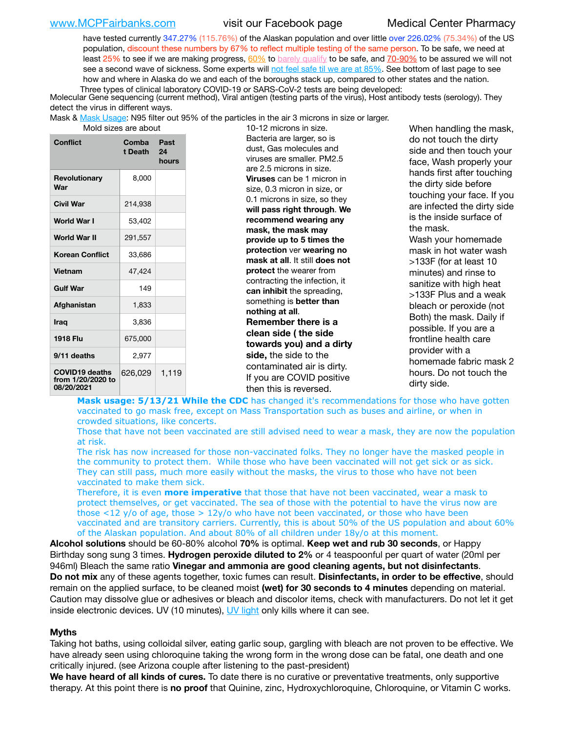[www.MCPFairbanks.com](http://www.MCPFairbanks.com) visit our Facebook page Medical Center Pharmacy

have tested currently 347.27% (115.76%) of the Alaskan population and over little over 226.02% (75.34%) of the US population, discount these numbers by 67% to reflect multiple testing of the same person. To be safe, we need at least 25% to see if we are making progress,  $60\%$  to [barely qualify](https://www.nature.com/articles/d41586-020-02948-4) to be safe, and  $70-90\%$  to be assured we will not see a second wave of sickness. Some experts will [not feel safe til we are at 85%](https://www.bannerhealth.com/healthcareblog/teach-me/what-is-herd-immunity). See bottom of last page to see how and where in Alaska do we and each of the boroughs stack up, compared to other states and the nation. Three types of clinical laboratory COVID-19 or SARS-CoV-2 tests are being developed:

 Molecular Gene sequencing (current method), Viral antigen (testing parts of the virus), Host antibody tests (serology). They detect the virus in different ways.

Mask & [Mask Usage:](https://www.nationalgeographic.com/history/2020/03/how-cities-flattened-curve-1918-spanish-flu-pandemic-coronavirus/) N95 filter out 95% of the particles in the air 3 microns in size or larger.

| Mold sizes are abou |  |  |  |
|---------------------|--|--|--|
|---------------------|--|--|--|

| Conflict                                                 | Comba<br>t Death | Past<br>24<br>hours |
|----------------------------------------------------------|------------------|---------------------|
| Revolutionary<br>War                                     | 8,000            |                     |
| <b>Civil War</b>                                         | 214,938          |                     |
| World War I                                              | 53,402           |                     |
| World War II                                             | 291,557          |                     |
| <b>Korean Conflict</b>                                   | 33,686           |                     |
| <b>Vietnam</b>                                           | 47.424           |                     |
| <b>Gulf War</b>                                          | 149              |                     |
| Afghanistan                                              | 1.833            |                     |
| <b>Iraq</b>                                              | 3,836            |                     |
| <b>1918 Flu</b>                                          | 675,000          |                     |
| 9/11 deaths                                              | 2.977            |                     |
| <b>COVID19 deaths</b><br>from 1/20/2020 to<br>08/20/2021 | 626,029          | 1,119               |

at are about 10-12 microns in size. Bacteria are larger, so is dust, Gas molecules and viruses are smaller. PM2.5 are 2.5 microns in size. **Viruses** can be 1 micron in size, 0.3 micron in size, or 0.1 microns in size, so they **will pass right through**. **We recommend wearing any mask, the mask may provide up to 5 times the protection** ver **wearing no mask at all**. It still **does not protect** the wearer from contracting the infection, it **can inhibit** the spreading, something is **better than nothing at all**. **Remember there is a clean side ( the side towards you) and a dirty side,** the side to the contaminated air is dirty. If you are COVID positive then this is reversed.

When handling the mask, do not touch the dirty side and then touch your face, Wash properly your hands first after touching the dirty side before touching your face. If you are infected the dirty side is the inside surface of the mask. Wash your homemade mask in hot water wash >133F (for at least 10 minutes) and rinse to sanitize with high heat >133F Plus and a weak bleach or peroxide (not Both) the mask. Daily if possible. If you are a frontline health care provider with a homemade fabric mask 2 hours. Do not touch the dirty side.

Mask usage: 5/13/21 While the CDC has changed it's recommendations for those who have gotten vaccinated to go mask free, except on Mass Transportation such as buses and airline, or when in crowded situations, like concerts.

Those that have not been vaccinated are still advised need to wear a mask, they are now the population at risk.

The risk has now increased for those non-vaccinated folks. They no longer have the masked people in the community to protect them. While those who have been vaccinated will not get sick or as sick. They can still pass, much more easily without the masks, the virus to those who have not been vaccinated to make them sick.

Therefore, it is even **more imperative** that those that have not been vaccinated, wear a mask to protect themselves, or get vaccinated. The sea of those with the potential to have the virus now are those <12 y/o of age, those >  $12y$ /o who have not been vaccinated, or those who have been vaccinated and are transitory carriers. Currently, this is about 50% of the US population and about 60% of the Alaskan population. And about 80% of all children under 18y/o at this moment.

**Alcohol solutions** should be 60-80% alcohol **70%** is optimal. **Keep wet and rub 30 seconds**, or Happy Birthday song sung 3 times. **Hydrogen peroxide diluted to 2%** or 4 teaspoonful per quart of water (20ml per 946ml) Bleach the same ratio **Vinegar and ammonia are good cleaning agents, but not disinfectants**. **Do not mix** any of these agents together, toxic fumes can result. **Disinfectants, in order to be effective**, should remain on the applied surface, to be cleaned moist **(wet) for 30 seconds to 4 minutes** depending on material. Caution may dissolve glue or adhesives or bleach and discolor items, check with manufacturers. Do not let it get inside electronic devices. UV (10 minutes), [UV light](http://www.docreviews.me/best-uv-boxes-2020/?fbclid=IwAR3bvFtXB48OoBBSvYvTEnKuHNPbipxM6jUo82QUSw9wckxjC7wwRZWabGw) only kills where it can see.

### **Myths**

Taking hot baths, using colloidal silver, eating garlic soup, gargling with bleach are not proven to be effective. We have already seen using chloroquine taking the wrong form in the wrong dose can be fatal, one death and one critically injured. (see Arizona couple after listening to the past-president)

**We have heard of all kinds of cures.** To date there is no curative or preventative treatments, only supportive therapy. At this point there is **no proof** that Quinine, zinc, Hydroxychloroquine, Chloroquine, or Vitamin C works.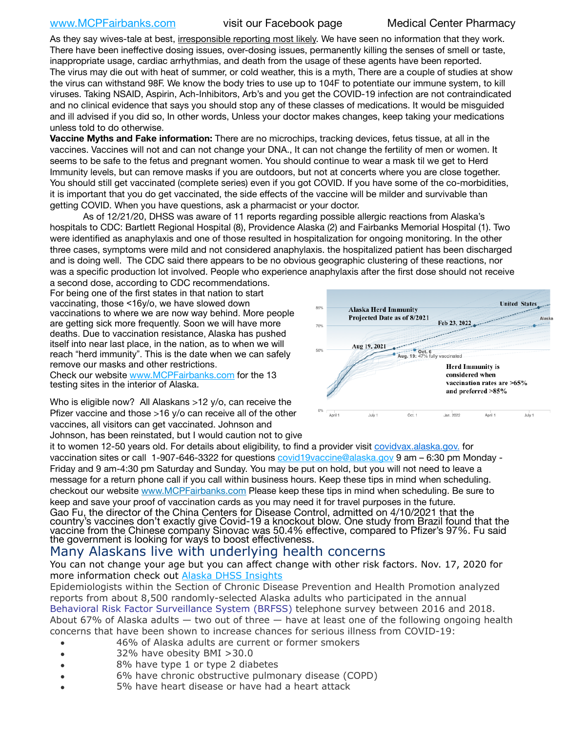# [www.MCPFairbanks.com](http://www.MCPFairbanks.com) visit our Facebook page Medical Center Pharmacy

As they say wives-tale at best, irresponsible reporting most likely. We have seen no information that they work. There have been ineffective dosing issues, over-dosing issues, permanently killing the senses of smell or taste, inappropriate usage, cardiac arrhythmias, and death from the usage of these agents have been reported. The virus may die out with heat of summer, or cold weather, this is a myth, There are a couple of studies at show the virus can withstand 98F. We know the body tries to use up to 104F to potentiate our immune system, to kill viruses. Taking NSAID, Aspirin, Ach-Inhibitors, Arb's and you get the COVID-19 infection are not contraindicated and no clinical evidence that says you should stop any of these classes of medications. It would be misguided and ill advised if you did so, In other words, Unless your doctor makes changes, keep taking your medications unless told to do otherwise.

**Vaccine Myths and Fake information:** There are no microchips, tracking devices, fetus tissue, at all in the vaccines. Vaccines will not and can not change your DNA., It can not change the fertility of men or women. It seems to be safe to the fetus and pregnant women. You should continue to wear a mask til we get to Herd Immunity levels, but can remove masks if you are outdoors, but not at concerts where you are close together. You should still get vaccinated (complete series) even if you got COVID. If you have some of the co-morbidities, it is important that you do get vaccinated, the side effects of the vaccine will be milder and survivable than getting COVID. When you have questions, ask a pharmacist or your doctor.

As of 12/21/20, DHSS was aware of 11 reports regarding possible allergic reactions from Alaska's hospitals to CDC: Bartlett Regional Hospital (8), Providence Alaska (2) and Fairbanks Memorial Hospital (1). Two were identified as anaphylaxis and one of those resulted in hospitalization for ongoing monitoring. In the other three cases, symptoms were mild and not considered anaphylaxis. the hospitalized patient has been discharged and is doing well. The CDC said there appears to be no obvious geographic clustering of these reactions, nor was a specific production lot involved. People who experience anaphylaxis after the first dose should not receive

a second dose, according to CDC recommendations. For being one of the first states in that nation to start vaccinating, those <16y/o, we have slowed down vaccinations to where we are now way behind. More people are getting sick more frequently. Soon we will have more deaths. Due to vaccination resistance, Alaska has pushed itself into near last place, in the nation, as to when we will reach "herd immunity". This is the date when we can safely remove our masks and other restrictions.

Check our website [www.MCPFairbanks.com](http://www.MCPFairbanks.com) for the 13 testing sites in the interior of Alaska.

Who is eligible now? All Alaskans >12 y/o, can receive the Pfizer vaccine and those >16 y/o can receive all of the other vaccines, all visitors can get vaccinated. Johnson and Johnson, has been reinstated, but I would caution not to give



it to women 12-50 years old. For details about eligibility, to find a provider visit [covidvax.alaska.gov.](https://lnks.gd/l/eyJhbGciOiJIUzI1NiJ9.eyJidWxsZXRpbl9saW5rX2lkIjoxMDYsInVyaSI6ImJwMjpjbGljayIsImJ1bGxldGluX2lkIjoiMjAyMTAxMjguMzQwODU3NjEiLCJ1cmwiOiJodHRwOi8vZGhzcy5hbGFza2EuZ292L2RwaC9FcGkvaWQvUGFnZXMvQ09WSUQtMTkvdmFjY2luZS5hc3B4In0.-Xwhl42jAWOMS7ewfS85uxwrwjohCso3Sb81DuDKtxU/s/500544915/br/93796640171-l) for vaccination sites or call 1-907-646-3322 for questions [covid19vaccine@alaska.gov](mailto:covid19vaccine@alaska.gov?subject=COVID19%20Vaccine%20questions) 9 am - 6:30 pm Monday -Friday and 9 am-4:30 pm Saturday and Sunday. You may be put on hold, but you will not need to leave a message for a return phone call if you call within business hours. Keep these tips in mind when scheduling. checkout our website [www.MCPFairbanks.com](http://www.MCPFairbanks.com) Please keep these tips in mind when scheduling. Be sure to keep and save your proof of vaccination cards as you may need it for travel purposes in the future. Gao Fu, the director of the China Centers for Disease Control, admitted on 4/10/2021 that the country's vaccines don't exactly give Covid-19 a knockout blow. One study from Brazil found that the vaccine from the Chinese company Sinovac was 50.4% effective, compared to Pfizer's 97%. Fu said the government is looking for ways to boost effectiveness.

# Many Alaskans live with underlying health concerns

You can not change your age but you can affect change with other risk factors. Nov. 17, 2020 for more information check out [Alaska DHSS Insights](http://dhss.alaska.gov/dph/Epi/id/Pages/COVID-19/blog/20201117.aspx)

Epidemiologists within the Section of Chronic Disease Prevention and Health Promotion analyzed reports from about 8,500 randomly-selected Alaska adults who participated in the annual [Behavioral Risk Factor Surveillance System \(BRFSS\)](http://dhss.alaska.gov/dph/Chronic/Pages/brfss/default.aspx) telephone survey between 2016 and 2018. About 67% of Alaska adults — two out of three — have at least one of the following ongoing health concerns that have been shown to increase chances for serious illness from COVID-19:

- 46% of Alaska adults are current or former smokers
- 32% have obesity BMI >30.0
- 8% have type 1 or type 2 diabetes
- 6% have chronic obstructive pulmonary disease (COPD)
- 5% have heart disease or have had a heart attack